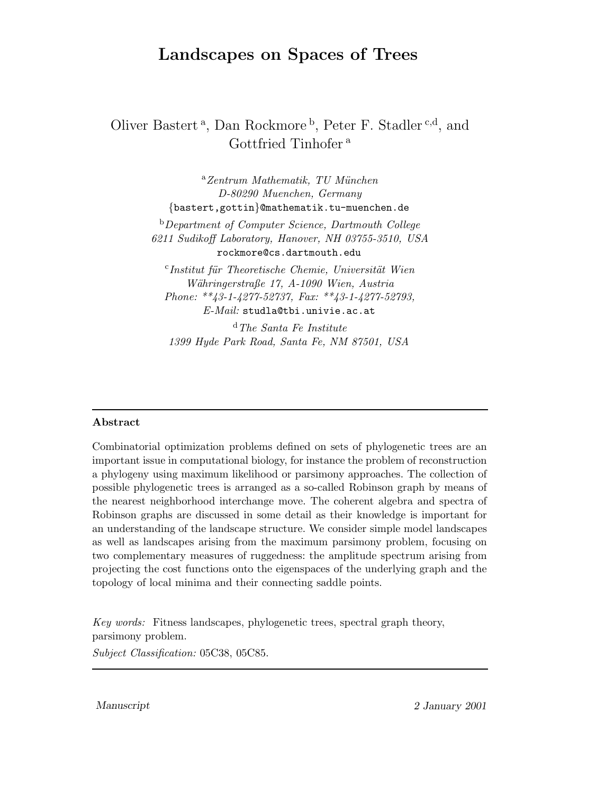# Landscapes on Spaces of Trees

## Oliver Bastert<sup>a</sup>, Dan Rockmore<sup>b</sup>, Peter F. Stadler<sup>c,d</sup>, and Gottfried Tinhofer<sup>a</sup>

 $^a$ Zentrum Mathematik, TU München D-80290 Muenchen, Germany {bastert,gottin}@mathematik.tu-muenchen.de

<sup>b</sup>Department of Computer Science, Dartmouth College 6211 Sudikoff Laboratory, Hanover, NH 03755-3510, USA rockmore@cs.dartmouth.edu

<sup>c</sup>Institut für Theoretische Chemie, Universität Wien Währingerstraße 17, A-1090 Wien, Austria Phone: \*\*43-1-4277-52737, Fax: \*\*43-1-4277-52793, E-Mail: studla@tbi.univie.ac.at

 $d$  The Santa Fe Institute 1399 Hyde Park Road, Santa Fe, NM 87501, USA

#### Abstract

Combinatorial optimization problems defined on sets of phylogenetic trees are an important issue in computational biology, for instance the problem of reconstruction a phylogeny using maximum likelihood or parsimony approaches. The collection of possible phylogenetic trees is arranged as a so-called Robinson graph by means of the nearest neighborhood interchange move. The coherent algebra and spectra of Robinson graphs are discussed in some detail as their knowledge is important for an understanding of the landscape structure. We consider simple model landscapes as well as landscapes arising from the maximum parsimony problem, focusing on two complementary measures of ruggedness: the amplitude spectrum arising from projecting the cost functions onto the eigenspaces of the underlying graph and the topology of local minima and their connecting saddle points.

Key words: Fitness landscapes, phylogenetic trees, spectral graph theory, parsimony problem.

Subject Classification: 05C38, 05C85.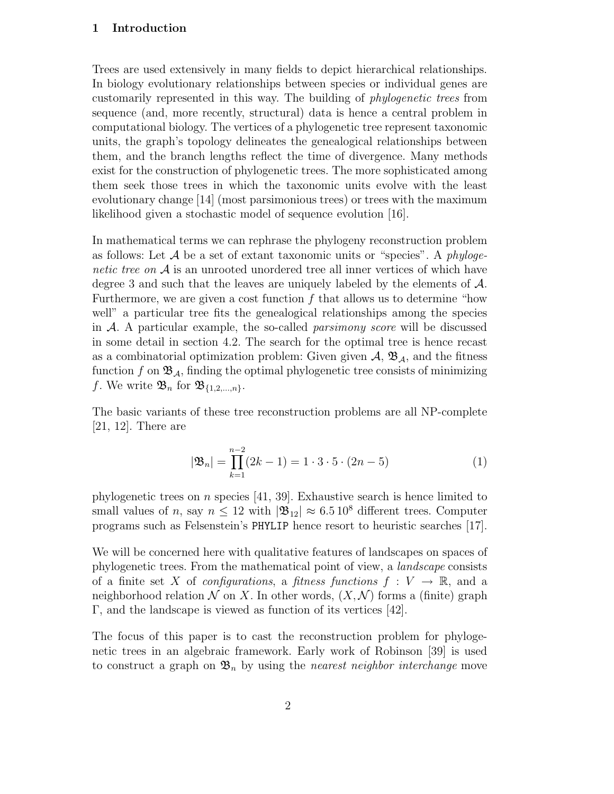#### 1 Introduction

Trees are used extensively in many fields to depict hierarchical relationships. In biology evolutionary relationships between species or individual genes are customarily represented in this way. The building of phylogenetic trees from sequence (and, more recently, structural) data is hence a central problem in computational biology. The vertices of a phylogenetic tree represent taxonomic units, the graph's topology delineates the genealogical relationships between them, and the branch lengths reflect the time of divergence. Many methods exist for the construction of phylogenetic trees. The more sophisticated among them seek those trees in which the taxonomic units evolve with the least evolutionary change [14] (most parsimonious trees) or trees with the maximum likelihood given a stochastic model of sequence evolution [16].

In mathematical terms we can rephrase the phylogeny reconstruction problem as follows: Let  $A$  be a set of extant taxonomic units or "species". A phylogenetic tree on A is an unrooted unordered tree all inner vertices of which have degree 3 and such that the leaves are uniquely labeled by the elements of A. Furthermore, we are given a cost function  $f$  that allows us to determine "how well" a particular tree fits the genealogical relationships among the species in  $A$ . A particular example, the so-called *parsimony score* will be discussed in some detail in section 4.2. The search for the optimal tree is hence recast as a combinatorial optimization problem: Given given  $A$ ,  $\mathfrak{B}_A$ , and the fitness function f on  $\mathfrak{B}_A$ , finding the optimal phylogenetic tree consists of minimizing f. We write  $\mathfrak{B}_n$  for  $\mathfrak{B}_{\{1,2,\ldots,n\}}$ .

The basic variants of these tree reconstruction problems are all NP-complete [21, 12]. There are

$$
|\mathfrak{B}_n| = \prod_{k=1}^{n-2} (2k-1) = 1 \cdot 3 \cdot 5 \cdot (2n-5)
$$
 (1)

phylogenetic trees on n species [41, 39]. Exhaustive search is hence limited to small values of n, say  $n \leq 12$  with  $|\mathfrak{B}_{12}| \approx 6.5 \times 10^8$  different trees. Computer programs such as Felsenstein's PHYLIP hence resort to heuristic searches [17].

We will be concerned here with qualitative features of landscapes on spaces of phylogenetic trees. From the mathematical point of view, a landscape consists of a finite set X of *configurations*, a *fitness functions*  $f: V \to \mathbb{R}$ , and a neighborhood relation  $\mathcal N$  on X. In other words,  $(X, \mathcal N)$  forms a (finite) graph Γ, and the landscape is viewed as function of its vertices [42].

The focus of this paper is to cast the reconstruction problem for phylogenetic trees in an algebraic framework. Early work of Robinson [39] is used to construct a graph on  $\mathfrak{B}_n$  by using the *nearest neighbor interchange* move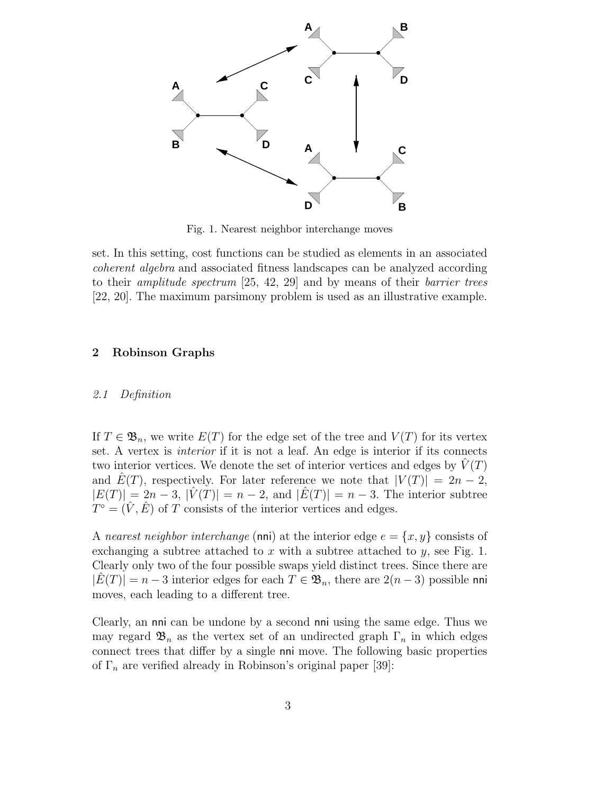

Fig. 1. Nearest neighbor interchange moves

set. In this setting, cost functions can be studied as elements in an associated coherent algebra and associated fitness landscapes can be analyzed according to their amplitude spectrum [25, 42, 29] and by means of their barrier trees [22, 20]. The maximum parsimony problem is used as an illustrative example.

#### 2 Robinson Graphs

#### 2.1 Definition

If  $T \in \mathfrak{B}_n$ , we write  $E(T)$  for the edge set of the tree and  $V(T)$  for its vertex set. A vertex is interior if it is not a leaf. An edge is interior if its connects two interior vertices. We denote the set of interior vertices and edges by  $V(T)$ and  $\hat{E}(T)$ , respectively. For later reference we note that  $|V(T)| = 2n - 2$ ,  $|E(T)| = 2n - 3$ ,  $|V(T)| = n - 2$ , and  $|E(T)| = n - 3$ . The interior subtree  $T^{\circ} = (\hat{V}, \hat{E})$  of T consists of the interior vertices and edges.

A nearest neighbor interchange (nni) at the interior edge  $e = \{x, y\}$  consists of exchanging a subtree attached to x with a subtree attached to y, see Fig. 1. Clearly only two of the four possible swaps yield distinct trees. Since there are  $|E(T)| = n - 3$  interior edges for each  $T \in \mathfrak{B}_n$ , there are  $2(n-3)$  possible nni moves, each leading to a different tree.

Clearly, an nni can be undone by a second nni using the same edge. Thus we may regard  $\mathfrak{B}_n$  as the vertex set of an undirected graph  $\Gamma_n$  in which edges connect trees that differ by a single nni move. The following basic properties of  $\Gamma_n$  are verified already in Robinson's original paper [39]: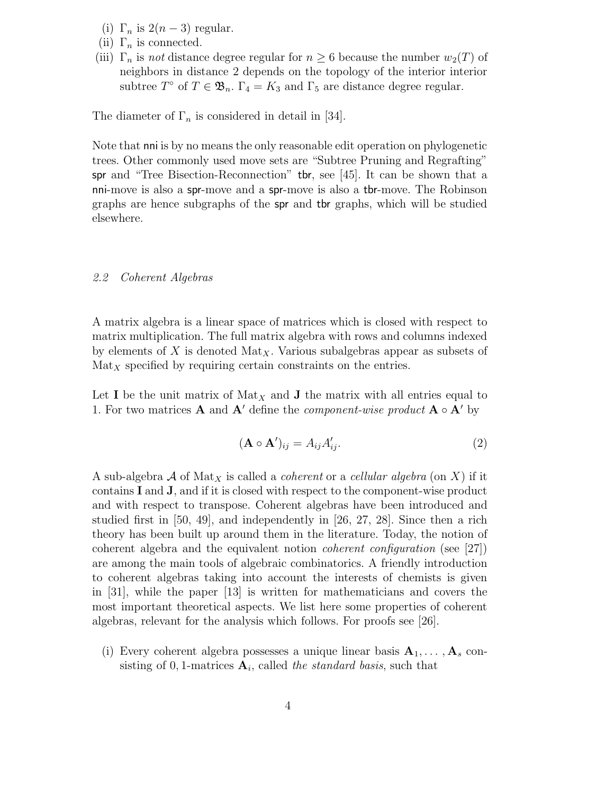- (i)  $\Gamma_n$  is  $2(n-3)$  regular.
- (ii)  $\Gamma_n$  is connected.
- (iii)  $\Gamma_n$  is not distance degree regular for  $n \geq 6$  because the number  $w_2(T)$  of neighbors in distance 2 depends on the topology of the interior interior subtree  $T^{\circ}$  of  $T \in \mathfrak{B}_n$ .  $\Gamma_4 = K_3$  and  $\Gamma_5$  are distance degree regular.

The diameter of  $\Gamma_n$  is considered in detail in [34].

Note that nni is by no means the only reasonable edit operation on phylogenetic trees. Other commonly used move sets are "Subtree Pruning and Regrafting" spr and "Tree Bisection-Reconnection" tbr, see [45]. It can be shown that a nni-move is also a spr-move and a spr-move is also a tbr-move. The Robinson graphs are hence subgraphs of the spr and tbr graphs, which will be studied elsewhere.

### 2.2 Coherent Algebras

A matrix algebra is a linear space of matrices which is closed with respect to matrix multiplication. The full matrix algebra with rows and columns indexed by elements of X is denoted Mat<sub>X</sub>. Various subalgebras appear as subsets of  $\text{Mat}_X$  specified by requiring certain constraints on the entries.

Let I be the unit matrix of  $\text{Mat}_X$  and J the matrix with all entries equal to 1. For two matrices  $\bf A$  and  ${\bf A}'$  define the *component-wise product*  ${\bf A} \circ {\bf A}'$  by

$$
(\mathbf{A} \circ \mathbf{A}')_{ij} = A_{ij} A'_{ij}.
$$
 (2)

A sub-algebra A of Mat<sub>X</sub> is called a *coherent* or a *cellular algebra* (on X) if it contains I and J, and if it is closed with respect to the component-wise product and with respect to transpose. Coherent algebras have been introduced and studied first in [50, 49], and independently in [26, 27, 28]. Since then a rich theory has been built up around them in the literature. Today, the notion of coherent algebra and the equivalent notion coherent configuration (see [27]) are among the main tools of algebraic combinatorics. A friendly introduction to coherent algebras taking into account the interests of chemists is given in [31], while the paper [13] is written for mathematicians and covers the most important theoretical aspects. We list here some properties of coherent algebras, relevant for the analysis which follows. For proofs see [26].

(i) Every coherent algebra possesses a unique linear basis  $A_1, \ldots, A_s$  consisting of 0, 1-matrices  $A_i$ , called the standard basis, such that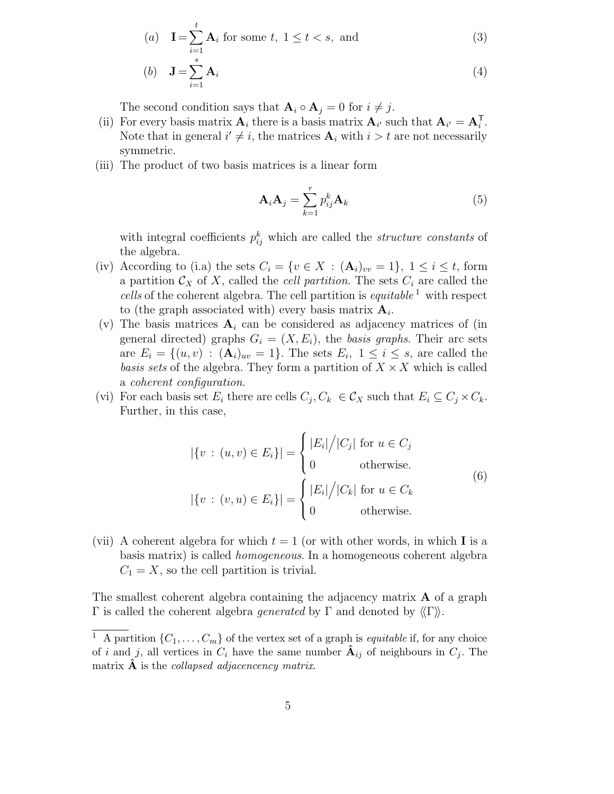(a) 
$$
\mathbf{I} = \sum_{i=1}^{t} \mathbf{A}_i
$$
 for some  $t, 1 \le t < s$ , and  
\n(b)  $\mathbf{J} = \sum_{i=1}^{s} \mathbf{A}_i$  (4)

The second condition says that  $\mathbf{A}_i \circ \mathbf{A}_j = 0$  for  $i \neq j$ .

- (ii) For every basis matrix  $\mathbf{A}_i$  there is a basis matrix  $\mathbf{A}_{i'}$  such that  $\mathbf{A}_{i'} = \mathbf{A}_i^{\mathsf{T}}$ . Note that in general  $i' \neq i$ , the matrices  $A_i$  with  $i > t$  are not necessarily symmetric.
- (iii) The product of two basis matrices is a linear form

$$
\mathbf{A}_i \mathbf{A}_j = \sum_{k=1}^r p_{ij}^k \mathbf{A}_k \tag{5}
$$

with integral coefficients  $p_{ij}^k$  which are called the *structure constants* of the algebra.

- (iv) According to (i.a) the sets  $C_i = \{v \in X : (\mathbf{A}_i)_{vv} = 1\}, 1 \le i \le t$ , form a partition  $\mathcal{C}_X$  of X, called the *cell partition*. The sets  $C_i$  are called the cells of the coherent algebra. The cell partition is  $\epsilon$ *quitable*<sup>1</sup> with respect to (the graph associated with) every basis matrix  $A_i$ .
- (v) The basis matrices  $A_i$  can be considered as adjacency matrices of (in general directed) graphs  $G_i = (X, E_i)$ , the basis graphs. Their arc sets are  $E_i = \{(u, v) : (\mathbf{A}_i)_{uv} = 1\}$ . The sets  $E_i$ ,  $1 \leq i \leq s$ , are called the basis sets of the algebra. They form a partition of  $X \times X$  which is called a coherent configuration.
- (vi) For each basis set  $E_i$  there are cells  $C_j, C_k \in \mathcal{C}_X$  such that  $E_i \subseteq C_j \times C_k$ . Further, in this case,

$$
|\{v : (u, v) \in E_i\}| = \begin{cases} |E_i|/|C_j| \text{ for } u \in C_j \\ 0 \qquad \text{otherwise.} \end{cases}
$$
  

$$
|\{v : (v, u) \in E_i\}| = \begin{cases} |E_i|/|C_k| \text{ for } u \in C_k \\ 0 \qquad \text{otherwise.} \end{cases}
$$
  
(6)

(vii) A coherent algebra for which  $t = 1$  (or with other words, in which I is a basis matrix) is called homogeneous. In a homogeneous coherent algebra  $C_1 = X$ , so the cell partition is trivial.

The smallest coherent algebra containing the adjacency matrix A of a graph Γ is called the coherent algebra *generated* by Γ and denoted by  $\langle \Gamma \rangle$ .

<sup>&</sup>lt;sup>1</sup> A partition  $\{C_1, \ldots, C_m\}$  of the vertex set of a graph is *equitable* if, for any choice of i and j, all vertices in  $C_i$  have the same number  $\mathbf{A}_{ij}$  of neighbours in  $C_j$ . The matrix  $\bf{A}$  is the *collapsed adjacencency matrix*.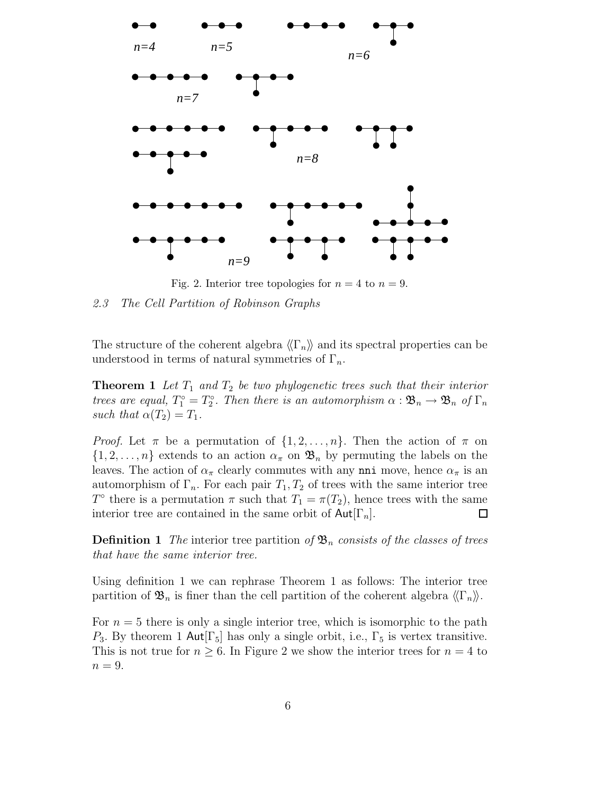

Fig. 2. Interior tree topologies for  $n = 4$  to  $n = 9$ .

2.3 The Cell Partition of Robinson Graphs

The structure of the coherent algebra  $\langle \nabla_n \rangle$  and its spectral properties can be understood in terms of natural symmetries of  $\Gamma_n$ .

**Theorem 1** Let  $T_1$  and  $T_2$  be two phylogenetic trees such that their interior trees are equal,  $T_1^{\circ} = T_2^{\circ}$ . Then there is an automorphism  $\alpha : \mathfrak{B}_n \to \mathfrak{B}_n$  of  $\Gamma_n$ such that  $\alpha(T_2) = T_1$ .

*Proof.* Let  $\pi$  be a permutation of  $\{1, 2, ..., n\}$ . Then the action of  $\pi$  on  $\{1, 2, \ldots, n\}$  extends to an action  $\alpha_{\pi}$  on  $\mathfrak{B}_n$  by permuting the labels on the leaves. The action of  $\alpha_{\pi}$  clearly commutes with any nni move, hence  $\alpha_{\pi}$  is an automorphism of  $\Gamma_n$ . For each pair  $T_1, T_2$  of trees with the same interior tree T<sup>o</sup> there is a permutation  $\pi$  such that  $T_1 = \pi(T_2)$ , hence trees with the same interior tree are contained in the same orbit of  $\text{Aut}[\Gamma_n]$ . □

**Definition 1** The interior tree partition of  $\mathfrak{B}_n$  consists of the classes of trees that have the same interior tree.

Using definition 1 we can rephrase Theorem 1 as follows: The interior tree partition of  $\mathfrak{B}_n$  is finer than the cell partition of the coherent algebra  $\langle\langle \Gamma_n \rangle\rangle$ .

For  $n = 5$  there is only a single interior tree, which is isomorphic to the path  $P_3$ . By theorem 1 Aut $[\Gamma_5]$  has only a single orbit, i.e.,  $\Gamma_5$  is vertex transitive. This is not true for  $n \geq 6$ . In Figure 2 we show the interior trees for  $n = 4$  to  $n = 9$ .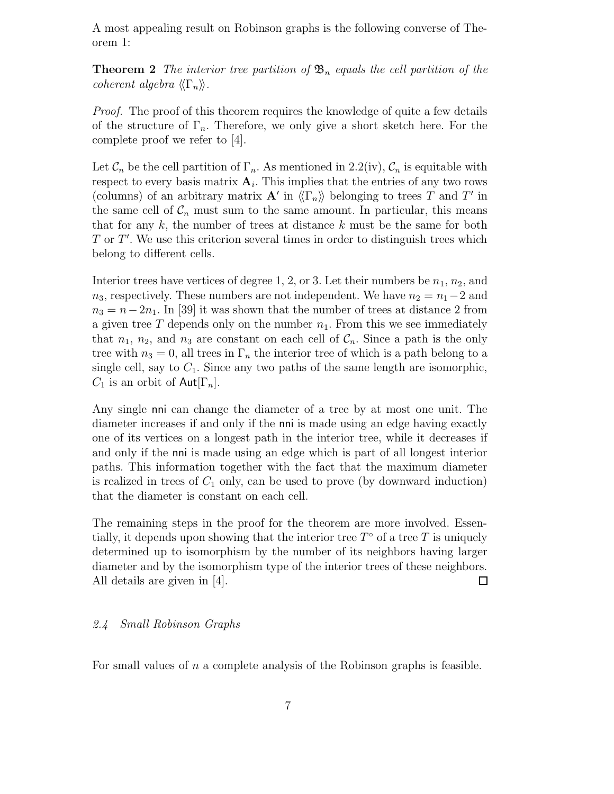A most appealing result on Robinson graphs is the following converse of Theorem 1:

**Theorem 2** The interior tree partition of  $\mathfrak{B}_n$  equals the cell partition of the coherent algebra  $\langle \langle \Gamma_n \rangle \rangle$ .

Proof. The proof of this theorem requires the knowledge of quite a few details of the structure of  $\Gamma_n$ . Therefore, we only give a short sketch here. For the complete proof we refer to [4].

Let  $\mathcal{C}_n$  be the cell partition of  $\Gamma_n$ . As mentioned in 2.2(iv),  $\mathcal{C}_n$  is equitable with respect to every basis matrix  $A_i$ . This implies that the entries of any two rows (columns) of an arbitrary matrix  $\mathbf{A}'$  in  $\langle\langle \Gamma_n \rangle\rangle$  belonging to trees T and T' in the same cell of  $C_n$  must sum to the same amount. In particular, this means that for any  $k$ , the number of trees at distance  $k$  must be the same for both  $T$  or  $T'$ . We use this criterion several times in order to distinguish trees which belong to different cells.

Interior trees have vertices of degree 1, 2, or 3. Let their numbers be  $n_1$ ,  $n_2$ , and  $n_3$ , respectively. These numbers are not independent. We have  $n_2 = n_1 - 2$  and  $n_3 = n-2n_1$ . In [39] it was shown that the number of trees at distance 2 from a given tree  $T$  depends only on the number  $n_1$ . From this we see immediately that  $n_1$ ,  $n_2$ , and  $n_3$  are constant on each cell of  $\mathcal{C}_n$ . Since a path is the only tree with  $n_3 = 0$ , all trees in  $\Gamma_n$  the interior tree of which is a path belong to a single cell, say to  $C_1$ . Since any two paths of the same length are isomorphic,  $C_1$  is an orbit of Aut $[\Gamma_n]$ .

Any single nni can change the diameter of a tree by at most one unit. The diameter increases if and only if the nni is made using an edge having exactly one of its vertices on a longest path in the interior tree, while it decreases if and only if the nni is made using an edge which is part of all longest interior paths. This information together with the fact that the maximum diameter is realized in trees of  $C_1$  only, can be used to prove (by downward induction) that the diameter is constant on each cell.

The remaining steps in the proof for the theorem are more involved. Essentially, it depends upon showing that the interior tree  $T^{\circ}$  of a tree T is uniquely determined up to isomorphism by the number of its neighbors having larger diameter and by the isomorphism type of the interior trees of these neighbors. All details are given in [4]. 口

### 2.4 Small Robinson Graphs

For small values of  $n$  a complete analysis of the Robinson graphs is feasible.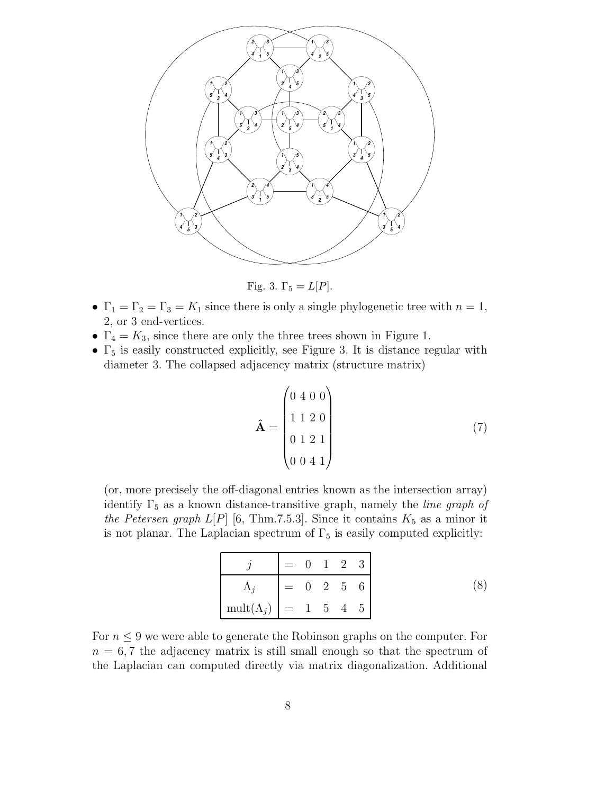

Fig. 3.  $\Gamma_5 = L[P]$ .

- $\Gamma_1 = \Gamma_2 = \Gamma_3 = K_1$  since there is only a single phylogenetic tree with  $n = 1$ , 2, or 3 end-vertices.
- $\Gamma_4 = K_3$ , since there are only the three trees shown in Figure 1.
- $\Gamma_5$  is easily constructed explicitly, see Figure 3. It is distance regular with diameter 3. The collapsed adjacency matrix (structure matrix)

$$
\hat{\mathbf{A}} = \begin{pmatrix} 0 & 4 & 0 & 0 \\ 1 & 1 & 2 & 0 \\ 0 & 1 & 2 & 1 \\ 0 & 0 & 4 & 1 \end{pmatrix} \tag{7}
$$

(or, more precisely the off-diagonal entries known as the intersection array) identify  $\Gamma_5$  as a known distance-transitive graph, namely the *line graph of* the Petersen graph  $L[P]$  [6, Thm.7.5.3]. Since it contains  $K_5$  as a minor it is not planar. The Laplacian spectrum of  $\Gamma_5$  is easily computed explicitly:

|                                    | $= 0 1 2 3$ |  |                                 |  |
|------------------------------------|-------------|--|---------------------------------|--|
|                                    |             |  | $=\quad 0\quad 2\quad 5\quad 6$ |  |
| $\text{mult}(\Lambda_i)$ = 1 5 4 5 |             |  |                                 |  |

For  $n \leq 9$  we were able to generate the Robinson graphs on the computer. For  $n = 6, 7$  the adjacency matrix is still small enough so that the spectrum of the Laplacian can computed directly via matrix diagonalization. Additional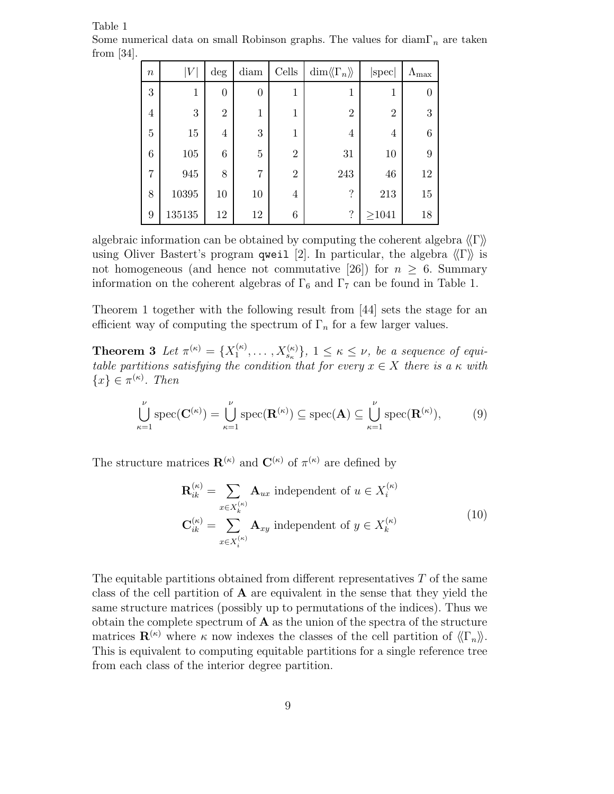| $\boldsymbol{n}$ | $\left V\right $ | $\deg$           | diam             | Cells          | $\dim \langle\!\langle \Gamma_n \rangle\!\rangle$ | $ {\rm spec} $ | $\Lambda_{\rm max}$ |
|------------------|------------------|------------------|------------------|----------------|---------------------------------------------------|----------------|---------------------|
| 3                | $\mathbf{1}$     | $\boldsymbol{0}$ | $\boldsymbol{0}$ | 1              | 1                                                 | $\mathbf{1}$   |                     |
| $\overline{4}$   | 3                | $\overline{2}$   | $\mathbf{1}$     | 1              | $\overline{2}$                                    | $\overline{2}$ | 3                   |
| $\overline{5}$   | 15               | $\overline{4}$   | 3                | 1              | 4                                                 | 4              | 6                   |
| $\,6\,$          | 105              | $6\phantom{.}6$  | $\overline{5}$   | $\overline{2}$ | 31                                                | 10             | 9                   |
| 7                | 945              | 8                | $\overline{7}$   | $\overline{2}$ | 243                                               | 46             | 12                  |
| 8                | 10395            | 10               | 10               | $\overline{4}$ | $\overline{\cdot}$                                | 213            | 15                  |
| 9                | $135135\,$       | 12               | 12               | 6              | $\overline{\cdot}$                                | $\geq 1041$    | 18                  |

Table 1 Some numerical data on small Robinson graphs. The values for diam $\Gamma_n$  are taken from [34].

algebraic information can be obtained by computing the coherent algebra  $\langle\!\langle \Gamma \rangle\!\rangle$ using Oliver Bastert's program qweil [2]. In particular, the algebra  $\langle\langle \Gamma \rangle\rangle$  is not homogeneous (and hence not commutative [26]) for  $n \geq 6$ . Summary information on the coherent algebras of  $\Gamma_6$  and  $\Gamma_7$  can be found in Table 1.

Theorem 1 together with the following result from [44] sets the stage for an efficient way of computing the spectrum of  $\Gamma_n$  for a few larger values.

Theorem 3 Let  $\pi^{(\kappa)}=\{X_1^{(\kappa)}\}$  $\{X_1^{(\kappa)}, \ldots, X_{s_{\kappa}}^{(\kappa)}\}, 1 \leq \kappa \leq \nu$ , be a sequence of equitable partitions satisfying the condition that for every  $x \in X$  there is a  $\kappa$  with  $\{x\} \in \pi^{(\kappa)}$ . Then

$$
\bigcup_{\kappa=1}^{\nu} \text{spec}(\mathbf{C}^{(\kappa)}) = \bigcup_{\kappa=1}^{\nu} \text{spec}(\mathbf{R}^{(\kappa)}) \subseteq \text{spec}(\mathbf{A}) \subseteq \bigcup_{\kappa=1}^{\nu} \text{spec}(\mathbf{R}^{(\kappa)}),\tag{9}
$$

The structure matrices  $\mathbf{R}^{(\kappa)}$  and  $\mathbf{C}^{(\kappa)}$  of  $\pi^{(\kappa)}$  are defined by

$$
\mathbf{R}_{ik}^{(\kappa)} = \sum_{x \in X_k^{(\kappa)}} \mathbf{A}_{ux} \text{ independent of } u \in X_i^{(\kappa)}
$$
  

$$
\mathbf{C}_{ik}^{(\kappa)} = \sum_{x \in X_i^{(\kappa)}} \mathbf{A}_{xy} \text{ independent of } y \in X_k^{(\kappa)}
$$
 (10)

The equitable partitions obtained from different representatives  $T$  of the same class of the cell partition of  $A$  are equivalent in the sense that they yield the same structure matrices (possibly up to permutations of the indices). Thus we obtain the complete spectrum of  $A$  as the union of the spectra of the structure matrices  $\mathbf{R}^{(\kappa)}$  where  $\kappa$  now indexes the classes of the cell partition of  $\langle\langle \Gamma_n \rangle\rangle$ . This is equivalent to computing equitable partitions for a single reference tree from each class of the interior degree partition.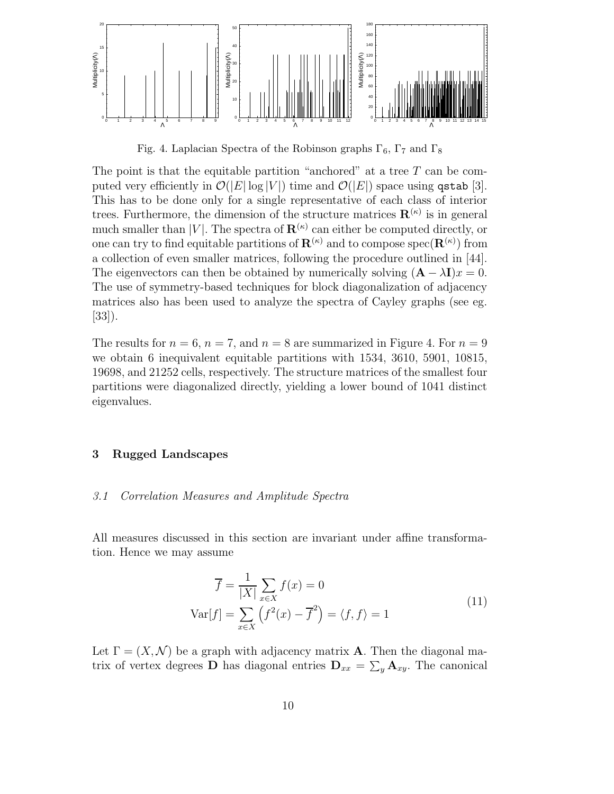

Fig. 4. Laplacian Spectra of the Robinson graphs  $\Gamma_6$ ,  $\Gamma_7$  and  $\Gamma_8$ 

The point is that the equitable partition "anchored" at a tree  $T$  can be computed very efficiently in  $\mathcal{O}(|E| \log |V|)$  time and  $\mathcal{O}(|E|)$  space using qstab [3]. This has to be done only for a single representative of each class of interior trees. Furthermore, the dimension of the structure matrices  $\mathbf{R}^{(\kappa)}$  is in general much smaller than |V|. The spectra of  $\mathbf{R}^{(\kappa)}$  can either be computed directly, or one can try to find equitable partitions of  $\mathbf{R}^{(\kappa)}$  and to compose  $\mathrm{spec}(\mathbf{R}^{(\kappa)})$  from a collection of even smaller matrices, following the procedure outlined in [44]. The eigenvectors can then be obtained by numerically solving  $(A - \lambda I)x = 0$ . The use of symmetry-based techniques for block diagonalization of adjacency matrices also has been used to analyze the spectra of Cayley graphs (see eg. [33]).

The results for  $n = 6$ ,  $n = 7$ , and  $n = 8$  are summarized in Figure 4. For  $n = 9$ we obtain 6 inequivalent equitable partitions with 1534, 3610, 5901, 10815, 19698, and 21252 cells, respectively. The structure matrices of the smallest four partitions were diagonalized directly, yielding a lower bound of 1041 distinct eigenvalues.

#### 3 Rugged Landscapes

#### 3.1 Correlation Measures and Amplitude Spectra

All measures discussed in this section are invariant under affine transformation. Hence we may assume

$$
\overline{f} = \frac{1}{|X|} \sum_{x \in X} f(x) = 0
$$
  
 
$$
Var[f] = \sum_{x \in X} (f^2(x) - \overline{f}^2) = \langle f, f \rangle = 1
$$
 (11)

Let  $\Gamma = (X, \mathcal{N})$  be a graph with adjacency matrix **A**. Then the diagonal matrix of vertex degrees **D** has diagonal entries  $D_{xx} = \sum_{y} A_{xy}$ . The canonical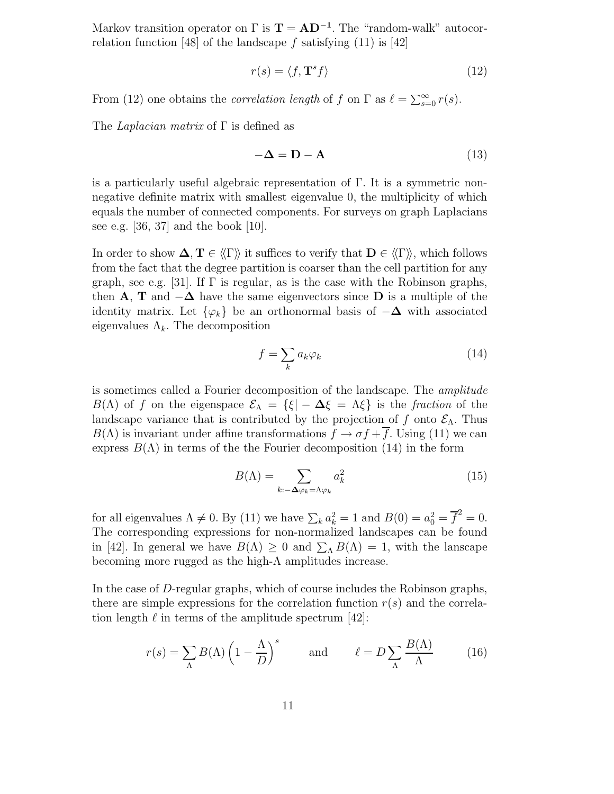Markov transition operator on  $\Gamma$  is  $\mathbf{T} = \mathbf{A}\mathbf{D}^{-1}$ . The "random-walk" autocorrelation function [48] of the landscape f satisfying  $(11)$  is [42]

$$
r(s) = \langle f, \mathbf{T}^s f \rangle \tag{12}
$$

From (12) one obtains the *correlation length* of f on  $\Gamma$  as  $\ell = \sum_{s=0}^{\infty} r(s)$ .

The *Laplacian matrix* of  $\Gamma$  is defined as

$$
-\Delta = \mathbf{D} - \mathbf{A} \tag{13}
$$

is a particularly useful algebraic representation of  $\Gamma$ . It is a symmetric nonnegative definite matrix with smallest eigenvalue 0, the multiplicity of which equals the number of connected components. For surveys on graph Laplacians see e.g.  $[36, 37]$  and the book  $[10]$ .

In order to show  $\Delta, T \in \langle \Gamma \rangle$  it suffices to verify that  $D \in \langle \Gamma \rangle$ , which follows from the fact that the degree partition is coarser than the cell partition for any graph, see e.g. [31]. If  $\Gamma$  is regular, as is the case with the Robinson graphs, then **A**, **T** and  $-\Delta$  have the same eigenvectors since **D** is a multiple of the identity matrix. Let  $\{\varphi_k\}$  be an orthonormal basis of  $-\Delta$  with associated eigenvalues  $\Lambda_k$ . The decomposition

$$
f = \sum_{k} a_k \varphi_k \tag{14}
$$

is sometimes called a Fourier decomposition of the landscape. The amplitude  $B(\Lambda)$  of f on the eigenspace  $\mathcal{E}_{\Lambda} = {\{\xi | - \Delta \xi = \Lambda \xi \}}$  is the fraction of the landscape variance that is contributed by the projection of f onto  $\mathcal{E}_{\Lambda}$ . Thus  $B(\Lambda)$  is invariant under affine transformations  $f \to \sigma f + \overline{f}$ . Using (11) we can express  $B(\Lambda)$  in terms of the the Fourier decomposition (14) in the form

$$
B(\Lambda) = \sum_{k:-\Delta\varphi_k = \Lambda\varphi_k} a_k^2 \tag{15}
$$

for all eigenvalues  $\Lambda \neq 0$ . By (11) we have  $\sum_k a_k^2 = 1$  and  $B(0) = a_0^2 = \overline{f}^2 = 0$ . The corresponding expressions for non-normalized landscapes can be found in [42]. In general we have  $B(\Lambda) \geq 0$  and  $\sum_{\Lambda} B(\Lambda) = 1$ , with the lanscape becoming more rugged as the high- $\Lambda$  amplitudes increase.

In the case of D-regular graphs, which of course includes the Robinson graphs, there are simple expressions for the correlation function  $r(s)$  and the correlation length  $\ell$  in terms of the amplitude spectrum [42]:

$$
r(s) = \sum_{\Lambda} B(\Lambda) \left(1 - \frac{\Lambda}{D}\right)^s \quad \text{and} \quad \ell = D \sum_{\Lambda} \frac{B(\Lambda)}{\Lambda} \tag{16}
$$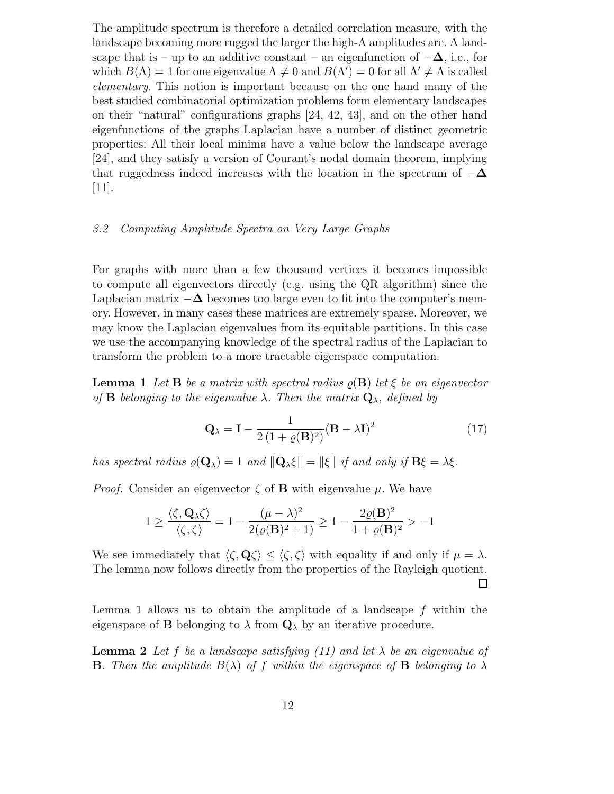The amplitude spectrum is therefore a detailed correlation measure, with the landscape becoming more rugged the larger the high- $\Lambda$  amplitudes are. A landscape that is – up to an additive constant – an eigenfunction of  $-\Delta$ , i.e., for which  $B(\Lambda) = 1$  for one eigenvalue  $\Lambda \neq 0$  and  $B(\Lambda') = 0$  for all  $\Lambda' \neq \Lambda$  is called elementary. This notion is important because on the one hand many of the best studied combinatorial optimization problems form elementary landscapes on their "natural" configurations graphs [24, 42, 43], and on the other hand eigenfunctions of the graphs Laplacian have a number of distinct geometric properties: All their local minima have a value below the landscape average [24], and they satisfy a version of Courant's nodal domain theorem, implying that ruggedness indeed increases with the location in the spectrum of  $-\Delta$ [11].

### 3.2 Computing Amplitude Spectra on Very Large Graphs

For graphs with more than a few thousand vertices it becomes impossible to compute all eigenvectors directly (e.g. using the QR algorithm) since the Laplacian matrix  $-\Delta$  becomes too large even to fit into the computer's memory. However, in many cases these matrices are extremely sparse. Moreover, we may know the Laplacian eigenvalues from its equitable partitions. In this case we use the accompanying knowledge of the spectral radius of the Laplacian to transform the problem to a more tractable eigenspace computation.

**Lemma 1** Let **B** be a matrix with spectral radius  $\rho(\mathbf{B})$  let  $\xi$  be an eigenvector of **B** belonging to the eigenvalue  $\lambda$ . Then the matrix  $\mathbf{Q}_{\lambda}$ , defined by

$$
\mathbf{Q}_{\lambda} = \mathbf{I} - \frac{1}{2\left(1 + \varrho(\mathbf{B})^2\right)} (\mathbf{B} - \lambda \mathbf{I})^2 \tag{17}
$$

has spectral radius  $\varrho(\mathbf{Q}_{\lambda}) = 1$  and  $\|\mathbf{Q}_{\lambda}\xi\| = \|\xi\|$  if and only if  $\mathbf{B}\xi = \lambda \xi$ .

*Proof.* Consider an eigenvector  $\zeta$  of **B** with eigenvalue  $\mu$ . We have

$$
1 \ge \frac{\langle \zeta, \mathbf{Q}_{\lambda} \zeta \rangle}{\langle \zeta, \zeta \rangle} = 1 - \frac{(\mu - \lambda)^2}{2(\varrho(\mathbf{B})^2 + 1)} \ge 1 - \frac{2\varrho(\mathbf{B})^2}{1 + \varrho(\mathbf{B})^2} > -1
$$

We see immediately that  $\langle \zeta, \mathbf{Q} \zeta \rangle \leq \langle \zeta, \zeta \rangle$  with equality if and only if  $\mu = \lambda$ . The lemma now follows directly from the properties of the Rayleigh quotient. □

Lemma 1 allows us to obtain the amplitude of a landscape  $f$  within the eigenspace of **B** belonging to  $\lambda$  from  $\mathbf{Q}_{\lambda}$  by an iterative procedure.

**Lemma 2** Let f be a landscape satisfying (11) and let  $\lambda$  be an eigenvalue of **B**. Then the amplitude  $B(\lambda)$  of f within the eigenspace of **B** belonging to  $\lambda$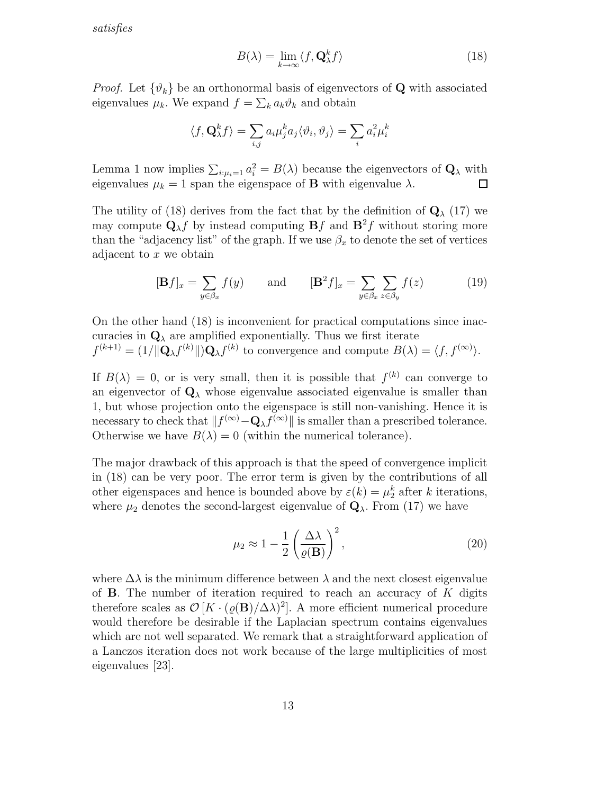satisfies

$$
B(\lambda) = \lim_{k \to \infty} \langle f, \mathbf{Q}_{\lambda}^k f \rangle \tag{18}
$$

*Proof.* Let  $\{\vartheta_k\}$  be an orthonormal basis of eigenvectors of **Q** with associated eigenvalues  $\mu_k$ . We expand  $f = \sum_k a_k \vartheta_k$  and obtain

$$
\langle f, \mathbf{Q}_{\lambda}^{k} f \rangle = \sum_{i,j} a_i \mu_j^{k} a_j \langle \vartheta_i, \vartheta_j \rangle = \sum_{i} a_i^{2} \mu_i^{k}
$$

Lemma 1 now implies  $\sum_{i:\mu_i=1} a_i^2 = B(\lambda)$  because the eigenvectors of  $\mathbf{Q}_{\lambda}$  with eigenvalues  $\mu_k = 1$  span the eigenspace of **B** with eigenvalue  $\lambda$ .

The utility of (18) derives from the fact that by the definition of  $\mathbf{Q}_{\lambda}$  (17) we may compute  $\mathbf{Q}_{\lambda} f$  by instead computing  $\mathbf{B} f$  and  $\mathbf{B}^2 f$  without storing more than the "adjacency list" of the graph. If we use  $\beta_x$  to denote the set of vertices adjacent to  $x$  we obtain

$$
[\mathbf{B}f]_x = \sum_{y \in \beta_x} f(y) \quad \text{and} \quad [\mathbf{B}^2 f]_x = \sum_{y \in \beta_x} \sum_{z \in \beta_y} f(z) \quad (19)
$$

On the other hand (18) is inconvenient for practical computations since inaccuracies in  $\mathbf{Q}_{\lambda}$  are amplified exponentially. Thus we first iterate  $f^{(k+1)} = (1/\|\mathbf{Q}_{\lambda}f^{(k)}\|)\mathbf{Q}_{\lambda}f^{(k)}$  to convergence and compute  $B(\lambda) = \langle f, f^{(\infty)}\rangle$ .

If  $B(\lambda) = 0$ , or is very small, then it is possible that  $f^{(k)}$  can converge to an eigenvector of  $\mathbf{Q}_{\lambda}$  whose eigenvalue associated eigenvalue is smaller than 1, but whose projection onto the eigenspace is still non-vanishing. Hence it is necessary to check that  $|| f^{(\infty)} - \mathbf{Q}_{\lambda} f^{(\infty)} ||$  is smaller than a prescribed tolerance. Otherwise we have  $B(\lambda) = 0$  (within the numerical tolerance).

The major drawback of this approach is that the speed of convergence implicit in (18) can be very poor. The error term is given by the contributions of all other eigenspaces and hence is bounded above by  $\varepsilon(k) = \mu_2^k$  after k iterations, where  $\mu_2$  denotes the second-largest eigenvalue of  $\mathbf{Q}_{\lambda}$ . From (17) we have

$$
\mu_2 \approx 1 - \frac{1}{2} \left( \frac{\Delta \lambda}{\varrho(B)} \right)^2,\tag{20}
$$

where  $\Delta\lambda$  is the minimum difference between  $\lambda$  and the next closest eigenvalue of **B**. The number of iteration required to reach an accuracy of  $K$  digits therefore scales as  $\mathcal{O}[K\cdot(\varrho(\mathbf{B})/\Delta\lambda)^2]$ . A more efficient numerical procedure would therefore be desirable if the Laplacian spectrum contains eigenvalues which are not well separated. We remark that a straightforward application of a Lanczos iteration does not work because of the large multiplicities of most eigenvalues [23].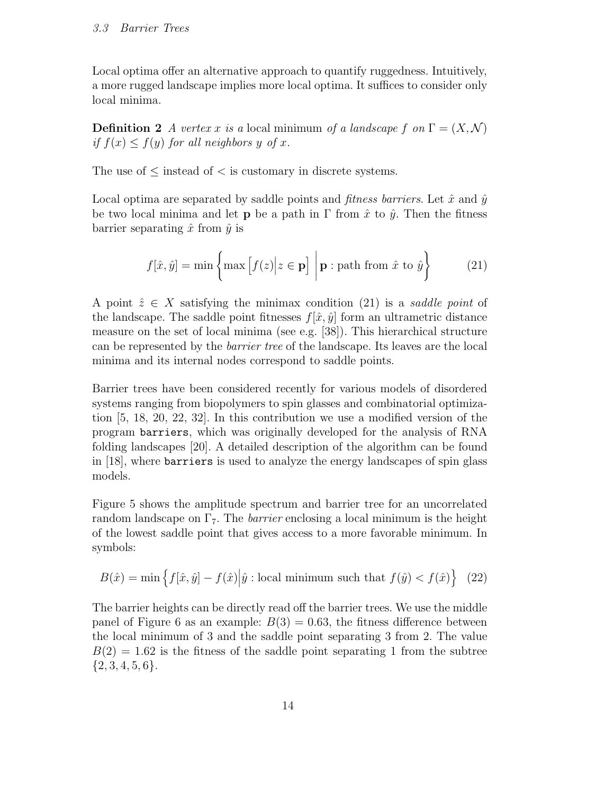Local optima offer an alternative approach to quantify ruggedness. Intuitively, a more rugged landscape implies more local optima. It suffices to consider only local minima.

**Definition 2** A vertex x is a local minimum of a landscape f on  $\Gamma = (X, \mathcal{N})$ if  $f(x) \leq f(y)$  for all neighbors y of x.

The use of  $\leq$  instead of  $\leq$  is customary in discrete systems.

Local optima are separated by saddle points and *fitness barriers*. Let  $\hat{x}$  and  $\hat{y}$ be two local minima and let **p** be a path in  $\Gamma$  from  $\hat{x}$  to  $\hat{y}$ . Then the fitness barrier separating  $\hat{x}$  from  $\hat{y}$  is

$$
f[\hat{x}, \hat{y}] = \min \left\{ \max \left[ f(z) \middle| z \in \mathbf{p} \right] \, \middle| \, \mathbf{p} : \text{path from } \hat{x} \text{ to } \hat{y} \right\} \tag{21}
$$

A point  $\hat{z} \in X$  satisfying the minimax condition (21) is a saddle point of the landscape. The saddle point fitnesses  $f[\hat{x}, \hat{y}]$  form an ultrametric distance measure on the set of local minima (see e.g. [38]). This hierarchical structure can be represented by the barrier tree of the landscape. Its leaves are the local minima and its internal nodes correspond to saddle points.

Barrier trees have been considered recently for various models of disordered systems ranging from biopolymers to spin glasses and combinatorial optimization [5, 18, 20, 22, 32]. In this contribution we use a modified version of the program barriers, which was originally developed for the analysis of RNA folding landscapes [20]. A detailed description of the algorithm can be found in [18], where barriers is used to analyze the energy landscapes of spin glass models.

Figure 5 shows the amplitude spectrum and barrier tree for an uncorrelated random landscape on  $\Gamma$ <sub>7</sub>. The *barrier* enclosing a local minimum is the height of the lowest saddle point that gives access to a more favorable minimum. In symbols:

$$
B(\hat{x}) = \min \left\{ f[\hat{x}, \hat{y}] - f(\hat{x}) \middle| \hat{y} : \text{local minimum such that } f(\hat{y}) < f(\hat{x}) \right\} \tag{22}
$$

The barrier heights can be directly read off the barrier trees. We use the middle panel of Figure 6 as an example:  $B(3) = 0.63$ , the fitness difference between the local minimum of 3 and the saddle point separating 3 from 2. The value  $B(2) = 1.62$  is the fitness of the saddle point separating 1 from the subtree  $\{2, 3, 4, 5, 6\}.$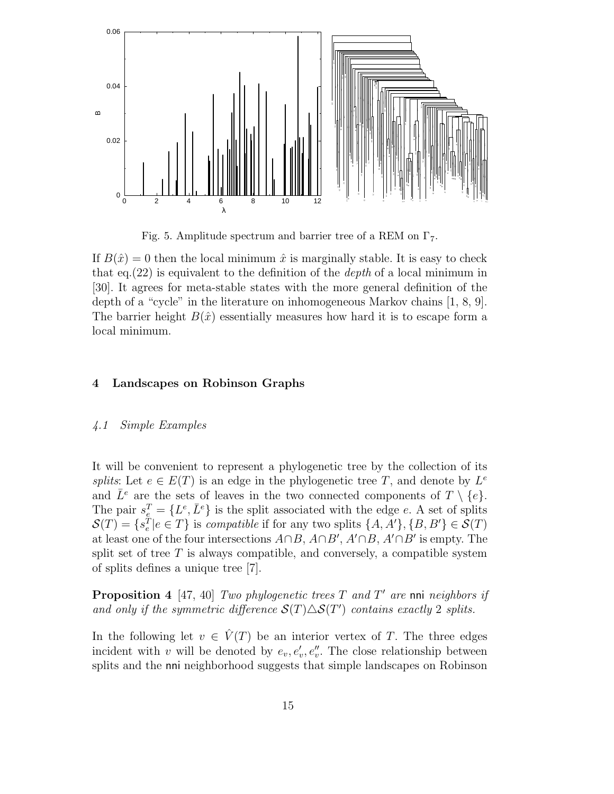

Fig. 5. Amplitude spectrum and barrier tree of a REM on  $\Gamma_7$ .

If  $B(\hat{x}) = 0$  then the local minimum  $\hat{x}$  is marginally stable. It is easy to check that eq.  $(22)$  is equivalent to the definition of the *depth* of a local minimum in [30]. It agrees for meta-stable states with the more general definition of the depth of a "cycle" in the literature on inhomogeneous Markov chains [1, 8, 9]. The barrier height  $B(\hat{x})$  essentially measures how hard it is to escape form a local minimum.

#### 4 Landscapes on Robinson Graphs

#### 4.1 Simple Examples

It will be convenient to represent a phylogenetic tree by the collection of its *splits*: Let  $e \in E(T)$  is an edge in the phylogenetic tree T, and denote by  $L^e$ and  $\overline{L}^e$  are the sets of leaves in the two connected components of  $T \setminus \{e\}.$ The pair  $s_e^T = \{L^e, \bar{L}^e\}$  is the split associated with the edge e. A set of splits  $\mathcal{S}(T) = \{s_e^T | e \in T\}$  is *compatible* if for any two splits  $\{A, A'\}, \{B, B'\} \in \mathcal{S}(T)$ at least one of the four intersections  $A \cap B$ ,  $A \cap B'$ ,  $A' \cap B$ ,  $A' \cap B'$  is empty. The split set of tree  $T$  is always compatible, and conversely, a compatible system of splits defines a unique tree [7].

**Proposition 4** [47, 40] Two phylogenetic trees T and T' are nni neighbors if and only if the symmetric difference  $\mathcal{S}(T) \triangle \mathcal{S}(T')$  contains exactly 2 splits.

In the following let  $v \in \hat{V}(T)$  be an interior vertex of T. The three edges incident with v will be denoted by  $e_v, e'_v, e''_v$ . The close relationship between splits and the nni neighborhood suggests that simple landscapes on Robinson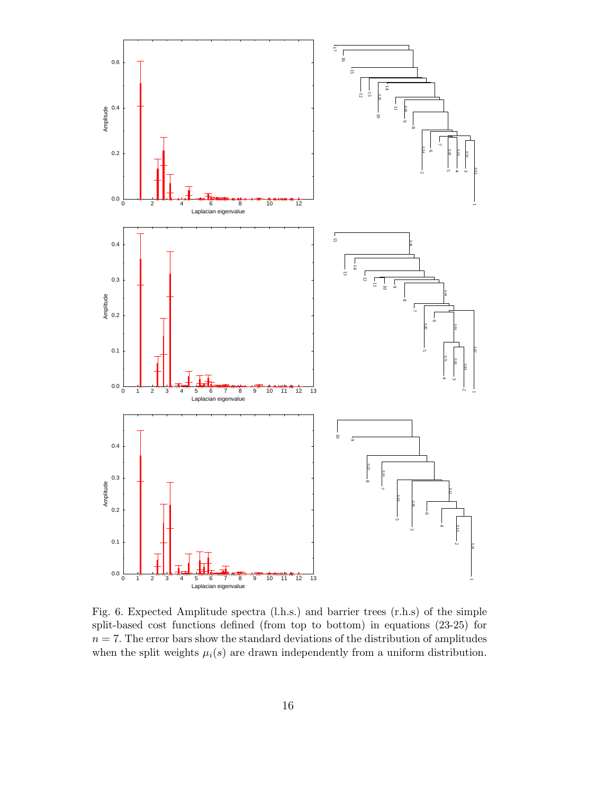

Fig. 6. Expected Amplitude spectra (l.h.s.) and barrier trees (r.h.s) of the simple split-based cost functions defined (from top to bottom) in equations (23-25) for  $n = 7$ . The error bars show the standard deviations of the distribution of amplitudes when the split weights  $\mu_i(s)$  are drawn independently from a uniform distribution.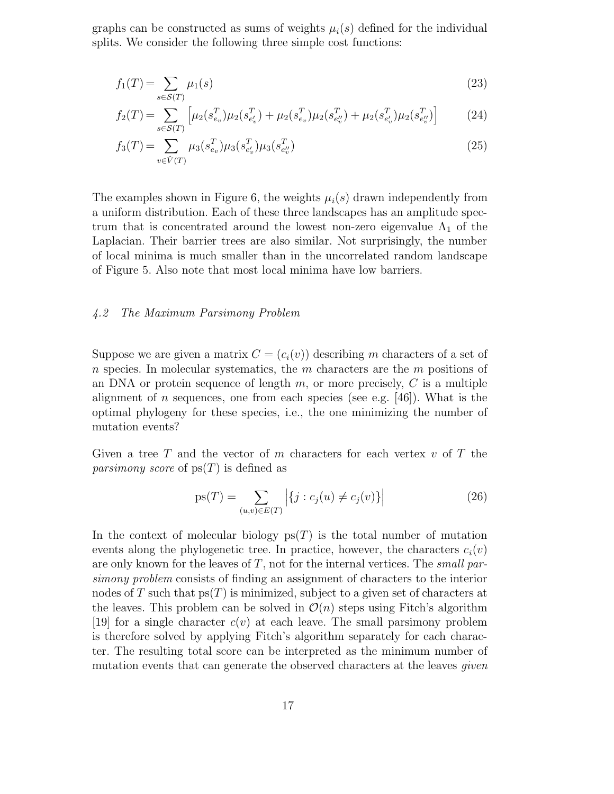graphs can be constructed as sums of weights  $\mu_i(s)$  defined for the individual splits. We consider the following three simple cost functions:

$$
f_1(T) = \sum_{s \in \mathcal{S}(T)} \mu_1(s) \tag{23}
$$

$$
f_2(T) = \sum_{s \in \mathcal{S}(T)} \left[ \mu_2(s_{e_v}^T) \mu_2(s_{e_v}^T) + \mu_2(s_{e_v}^T) \mu_2(s_{e_v}^T) + \mu_2(s_{e_v}^T) \mu_2(s_{e_v}^T) \right]
$$
(24)

$$
f_3(T) = \sum_{v \in \hat{V}(T)} \mu_3(s_{e_v}^T) \mu_3(s_{e_v'}^T) \mu_3(s_{e_v'}^T)
$$
 (25)

The examples shown in Figure 6, the weights  $\mu_i(s)$  drawn independently from a uniform distribution. Each of these three landscapes has an amplitude spectrum that is concentrated around the lowest non-zero eigenvalue  $\Lambda_1$  of the Laplacian. Their barrier trees are also similar. Not surprisingly, the number of local minima is much smaller than in the uncorrelated random landscape of Figure 5. Also note that most local minima have low barriers.

#### 4.2 The Maximum Parsimony Problem

Suppose we are given a matrix  $C = (c_i(v))$  describing m characters of a set of  $n$  species. In molecular systematics, the  $m$  characters are the  $m$  positions of an DNA or protein sequence of length  $m$ , or more precisely,  $C$  is a multiple alignment of n sequences, one from each species (see e.g.  $[46]$ ). What is the optimal phylogeny for these species, i.e., the one minimizing the number of mutation events?

Given a tree T and the vector of m characters for each vertex  $v$  of T the *parsimony score* of  $ps(T)$  is defined as

$$
ps(T) = \sum_{(u,v)\in E(T)} | \{ j : c_j(u) \neq c_j(v) \} |
$$
 (26)

In the context of molecular biology  $ps(T)$  is the total number of mutation events along the phylogenetic tree. In practice, however, the characters  $c_i(v)$ are only known for the leaves of  $T$ , not for the internal vertices. The small parsimony problem consists of finding an assignment of characters to the interior nodes of T such that  $ps(T)$  is minimized, subject to a given set of characters at the leaves. This problem can be solved in  $\mathcal{O}(n)$  steps using Fitch's algorithm [19] for a single character  $c(v)$  at each leave. The small parsimony problem is therefore solved by applying Fitch's algorithm separately for each character. The resulting total score can be interpreted as the minimum number of mutation events that can generate the observed characters at the leaves *given*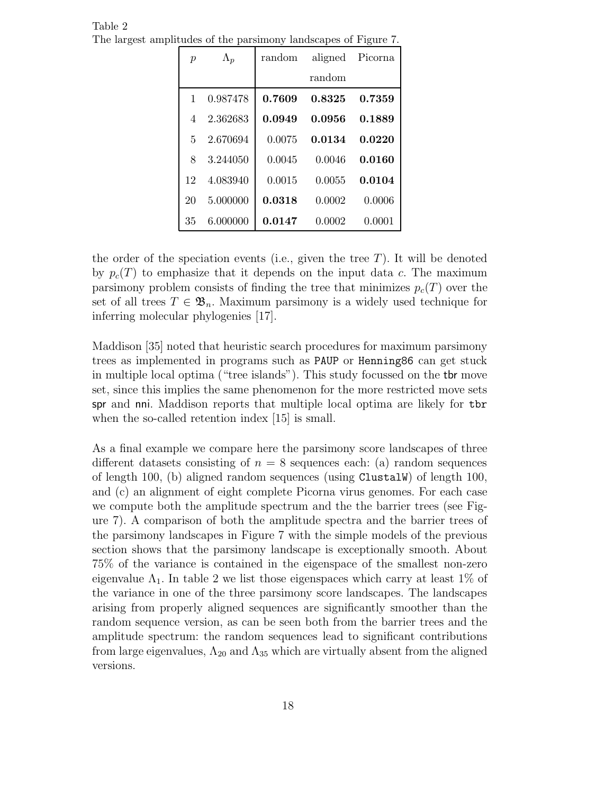| $\boldsymbol{p}$ | $\Lambda_p$ | random | aligned | Picorna |
|------------------|-------------|--------|---------|---------|
|                  |             |        | random  |         |
| 1                | 0.987478    | 0.7609 | 0.8325  | 0.7359  |
| 4                | 2.362683    | 0.0949 | 0.0956  | 0.1889  |
| 5                | 2.670694    | 0.0075 | 0.0134  | 0.0220  |
| 8                | 3.244050    | 0.0045 | 0.0046  | 0.0160  |
| 12               | 4.083940    | 0.0015 | 0.0055  | 0.0104  |
| 20               | 5.000000    | 0.0318 | 0.0002  | 0.0006  |
| 35               | 6.000000    | 0.0147 | 0.0002  | 0.0001  |

Table 2 The largest amplitudes of the parsimony landscapes of Figure 7.

the order of the speciation events (i.e., given the tree  $T$ ). It will be denoted by  $p_c(T)$  to emphasize that it depends on the input data c. The maximum parsimony problem consists of finding the tree that minimizes  $p_c(T)$  over the set of all trees  $T \in \mathfrak{B}_n$ . Maximum parsimony is a widely used technique for inferring molecular phylogenies [17].

Maddison [35] noted that heuristic search procedures for maximum parsimony trees as implemented in programs such as PAUP or Henning86 can get stuck in multiple local optima ("tree islands"). This study focussed on the tbr move set, since this implies the same phenomenon for the more restricted move sets spr and nni. Maddison reports that multiple local optima are likely for tbr when the so-called retention index [15] is small.

As a final example we compare here the parsimony score landscapes of three different datasets consisting of  $n = 8$  sequences each: (a) random sequences of length 100, (b) aligned random sequences (using ClustalW) of length 100, and (c) an alignment of eight complete Picorna virus genomes. For each case we compute both the amplitude spectrum and the the barrier trees (see Figure 7). A comparison of both the amplitude spectra and the barrier trees of the parsimony landscapes in Figure 7 with the simple models of the previous section shows that the parsimony landscape is exceptionally smooth. About 75% of the variance is contained in the eigenspace of the smallest non-zero eigenvalue  $\Lambda_1$ . In table 2 we list those eigenspaces which carry at least 1% of the variance in one of the three parsimony score landscapes. The landscapes arising from properly aligned sequences are significantly smoother than the random sequence version, as can be seen both from the barrier trees and the amplitude spectrum: the random sequences lead to significant contributions from large eigenvalues,  $\Lambda_{20}$  and  $\Lambda_{35}$  which are virtually absent from the aligned versions.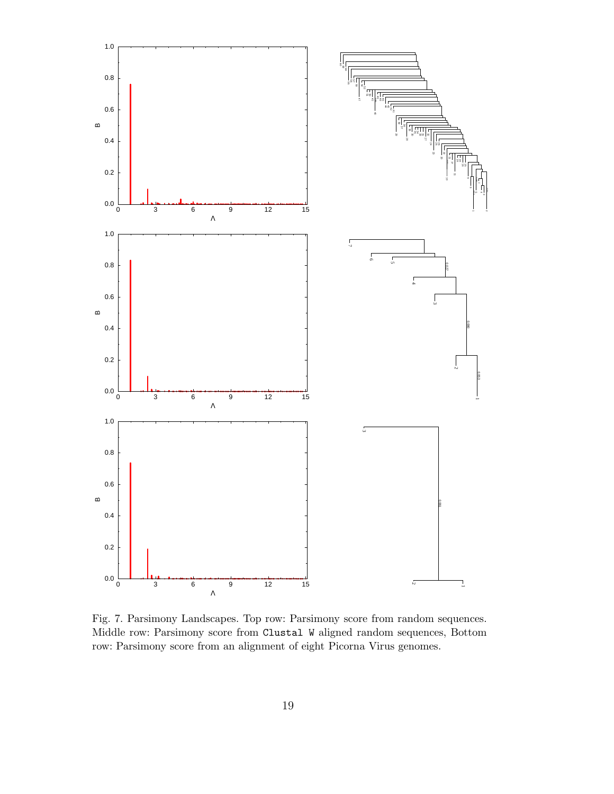

Fig. 7. Parsimony Landscapes. Top row: Parsimony score from random sequences. Middle row: Parsimony score from Clustal W aligned random sequences, Bottom row: Parsimony score from an alignment of eight Picorna Virus genomes.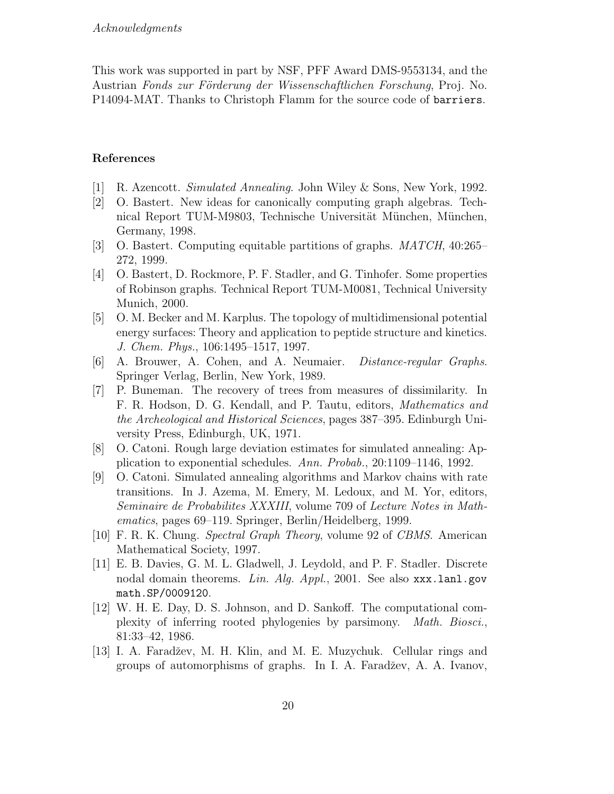This work was supported in part by NSF, PFF Award DMS-9553134, and the Austrian Fonds zur Förderung der Wissenschaftlichen Forschung, Proj. No. P14094-MAT. Thanks to Christoph Flamm for the source code of barriers.

### References

- [1] R. Azencott. Simulated Annealing. John Wiley & Sons, New York, 1992.
- [2] O. Bastert. New ideas for canonically computing graph algebras. Technical Report TUM-M9803, Technische Universität München, München, Germany, 1998.
- [3] O. Bastert. Computing equitable partitions of graphs. MATCH, 40:265– 272, 1999.
- [4] O. Bastert, D. Rockmore, P. F. Stadler, and G. Tinhofer. Some properties of Robinson graphs. Technical Report TUM-M0081, Technical University Munich, 2000.
- [5] O. M. Becker and M. Karplus. The topology of multidimensional potential energy surfaces: Theory and application to peptide structure and kinetics. J. Chem. Phys., 106:1495–1517, 1997.
- [6] A. Brouwer, A. Cohen, and A. Neumaier. Distance-regular Graphs. Springer Verlag, Berlin, New York, 1989.
- [7] P. Buneman. The recovery of trees from measures of dissimilarity. In F. R. Hodson, D. G. Kendall, and P. Tautu, editors, Mathematics and the Archeological and Historical Sciences, pages 387–395. Edinburgh University Press, Edinburgh, UK, 1971.
- [8] O. Catoni. Rough large deviation estimates for simulated annealing: Application to exponential schedules. Ann. Probab., 20:1109–1146, 1992.
- [9] O. Catoni. Simulated annealing algorithms and Markov chains with rate transitions. In J. Azema, M. Emery, M. Ledoux, and M. Yor, editors, Seminaire de Probabilites XXXIII, volume 709 of Lecture Notes in Mathematics, pages 69–119. Springer, Berlin/Heidelberg, 1999.
- [10] F. R. K. Chung. Spectral Graph Theory, volume 92 of CBMS. American Mathematical Society, 1997.
- [11] E. B. Davies, G. M. L. Gladwell, J. Leydold, and P. F. Stadler. Discrete nodal domain theorems. Lin. Alg. Appl., 2001. See also xxx.lanl.gov math.SP/0009120.
- [12] W. H. E. Day, D. S. Johnson, and D. Sankoff. The computational complexity of inferring rooted phylogenies by parsimony. Math. Biosci., 81:33–42, 1986.
- [13] I. A. Faradžev, M. H. Klin, and M. E. Muzychuk. Cellular rings and groups of automorphisms of graphs. In I. A. Faradžev, A. A. Ivanov,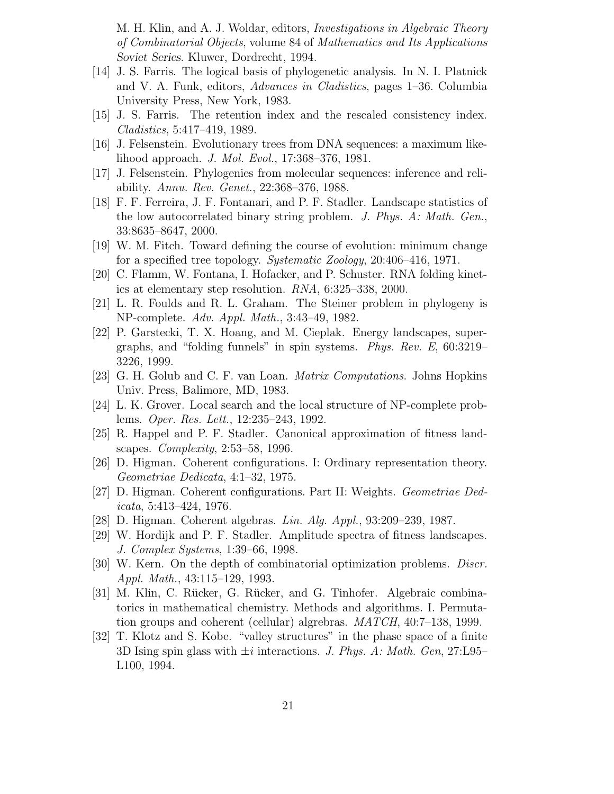M. H. Klin, and A. J. Woldar, editors, *Investigations in Algebraic Theory* of Combinatorial Objects, volume 84 of Mathematics and Its Applications Soviet Series. Kluwer, Dordrecht, 1994.

- [14] J. S. Farris. The logical basis of phylogenetic analysis. In N. I. Platnick and V. A. Funk, editors, Advances in Cladistics, pages 1–36. Columbia University Press, New York, 1983.
- [15] J. S. Farris. The retention index and the rescaled consistency index. Cladistics, 5:417–419, 1989.
- [16] J. Felsenstein. Evolutionary trees from DNA sequences: a maximum likelihood approach. J. Mol. Evol., 17:368–376, 1981.
- [17] J. Felsenstein. Phylogenies from molecular sequences: inference and reliability. Annu. Rev. Genet., 22:368–376, 1988.
- [18] F. F. Ferreira, J. F. Fontanari, and P. F. Stadler. Landscape statistics of the low autocorrelated binary string problem. J. Phys. A: Math. Gen., 33:8635–8647, 2000.
- [19] W. M. Fitch. Toward defining the course of evolution: minimum change for a specified tree topology. Systematic Zoology, 20:406–416, 1971.
- [20] C. Flamm, W. Fontana, I. Hofacker, and P. Schuster. RNA folding kinetics at elementary step resolution. RNA, 6:325–338, 2000.
- [21] L. R. Foulds and R. L. Graham. The Steiner problem in phylogeny is NP-complete. Adv. Appl. Math., 3:43–49, 1982.
- [22] P. Garstecki, T. X. Hoang, and M. Cieplak. Energy landscapes, supergraphs, and "folding funnels" in spin systems. Phys. Rev. E, 60:3219– 3226, 1999.
- [23] G. H. Golub and C. F. van Loan. Matrix Computations. Johns Hopkins Univ. Press, Balimore, MD, 1983.
- [24] L. K. Grover. Local search and the local structure of NP-complete problems. Oper. Res. Lett., 12:235–243, 1992.
- [25] R. Happel and P. F. Stadler. Canonical approximation of fitness landscapes. Complexity, 2:53–58, 1996.
- [26] D. Higman. Coherent configurations. I: Ordinary representation theory. Geometriae Dedicata, 4:1–32, 1975.
- [27] D. Higman. Coherent configurations. Part II: Weights. Geometriae Dedicata, 5:413–424, 1976.
- [28] D. Higman. Coherent algebras. Lin. Alg. Appl., 93:209–239, 1987.
- [29] W. Hordijk and P. F. Stadler. Amplitude spectra of fitness landscapes. J. Complex Systems, 1:39–66, 1998.
- [30] W. Kern. On the depth of combinatorial optimization problems. Discr. Appl. Math., 43:115–129, 1993.
- [31] M. Klin, C. Rücker, G. Rücker, and G. Tinhofer. Algebraic combinatorics in mathematical chemistry. Methods and algorithms. I. Permutation groups and coherent (cellular) algrebras. MATCH, 40:7–138, 1999.
- [32] T. Klotz and S. Kobe. "valley structures" in the phase space of a finite 3D Ising spin glass with  $\pm i$  interactions. J. Phys. A: Math. Gen, 27:L95– L100, 1994.